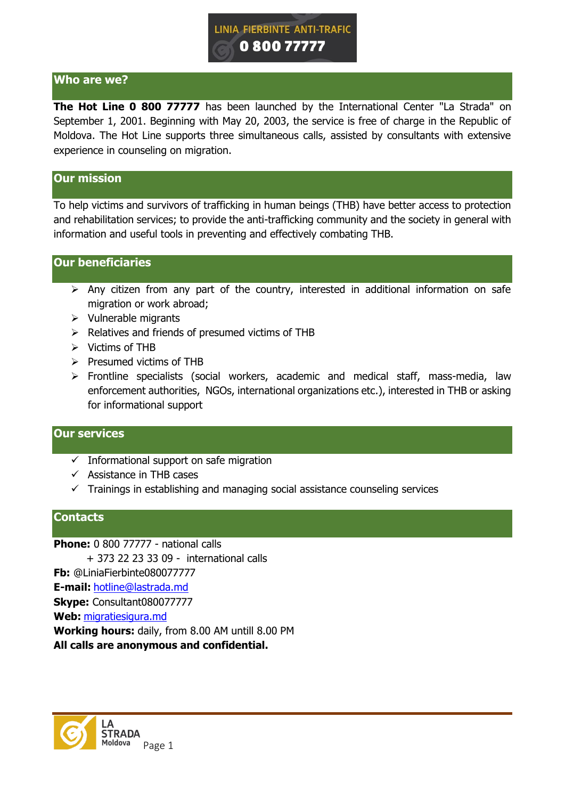

# **Who are we?**

**The Hot Line 0 800 77777** has been launched by the International Center "La Strada" on September 1, 2001. Beginning with May 20, 2003, the service is free of charge in the Republic of Moldova. The Hot Line supports three simultaneous calls, assisted by consultants with extensive experience in counseling on migration.

#### **Our mission**

To help victims and survivors of trafficking in human beings (THB) have better access to protection and rehabilitation services; to provide the anti-trafficking community and the society in general with information and useful tools in preventing and effectively combating THB.

# **Our beneficiaries**

- $\triangleright$  Any citizen from any part of the country, interested in additional information on safe migration or work abroad;
- $\triangleright$  Vulnerable migrants
- $\triangleright$  Relatives and friends of presumed victims of THB
- $\triangleright$  Victims of THB
- $\triangleright$  Presumed victims of THB
- $\triangleright$  Frontline specialists (social workers, academic and medical staff, mass-media, law enforcement authorities, NGOs, international organizations etc.), interested in THB or asking for informational support

### **Our services**

- $\checkmark$  Informational support on safe migration
- $\checkmark$  Assistance in THB cases
- $\checkmark$  Trainings in establishing and managing social assistance counseling services

## **Contacts**

**Phone:** 0 800 77777 - national calls + 373 22 23 33 09 - international calls **Fb:** @LiniaFierbinte080077777

**E-mail:** [hotline@lastrada.md](mailto:hotline@lastrada.md)

**Skype:** Consultant080077777

**Web:** [migratiesigura.md](http://www.migratiesigura.md/)

**Working hours:** daily, from 8.00 AM untill 8.00 PM

**All calls are anonymous and confidential.**

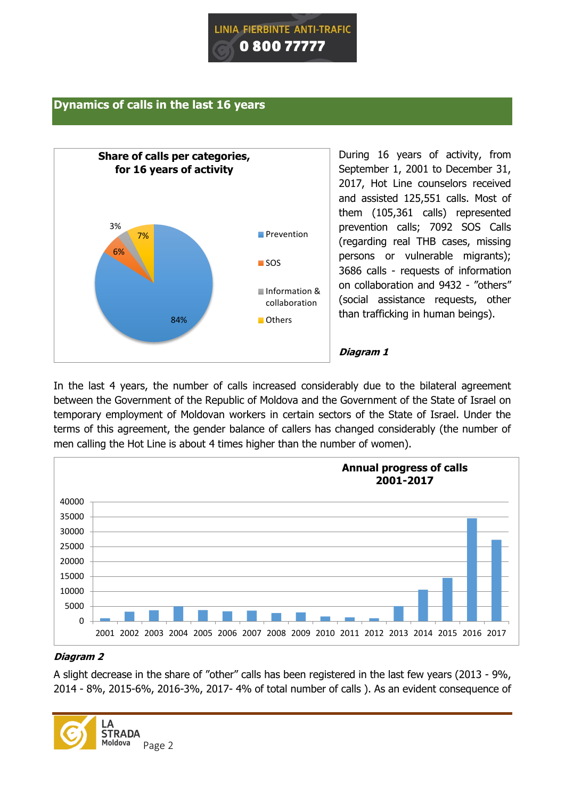

# **Dynamics of calls in the last 16 years**



During 16 years of activity, from September 1, 2001 to December 31, 2017, Hot Line counselors received and assisted 125,551 calls. Most of them (105,361 calls) represented prevention calls; 7092 SOS Calls (regarding real THB cases, missing persons or vulnerable migrants); 3686 calls - requests of information on collaboration and 9432 - "others" (social assistance requests, other than trafficking in human beings).

#### **Diagram 1**

In the last 4 years, the number of calls increased considerably due to the bilateral agreement between the Government of the Republic of Moldova and the Government of the State of Israel on temporary employment of Moldovan workers in certain sectors of the State of Israel. Under the terms of this agreement, the gender balance of callers has changed considerably (the number of men calling the Hot Line is about 4 times higher than the number of women).



# **Diagram 2**

A slight decrease in the share of "other" calls has been registered in the last few years (2013 - 9%, 2014 - 8%, 2015-6%, 2016-3%, 2017- 4% of total number of calls ). As an evident consequence of